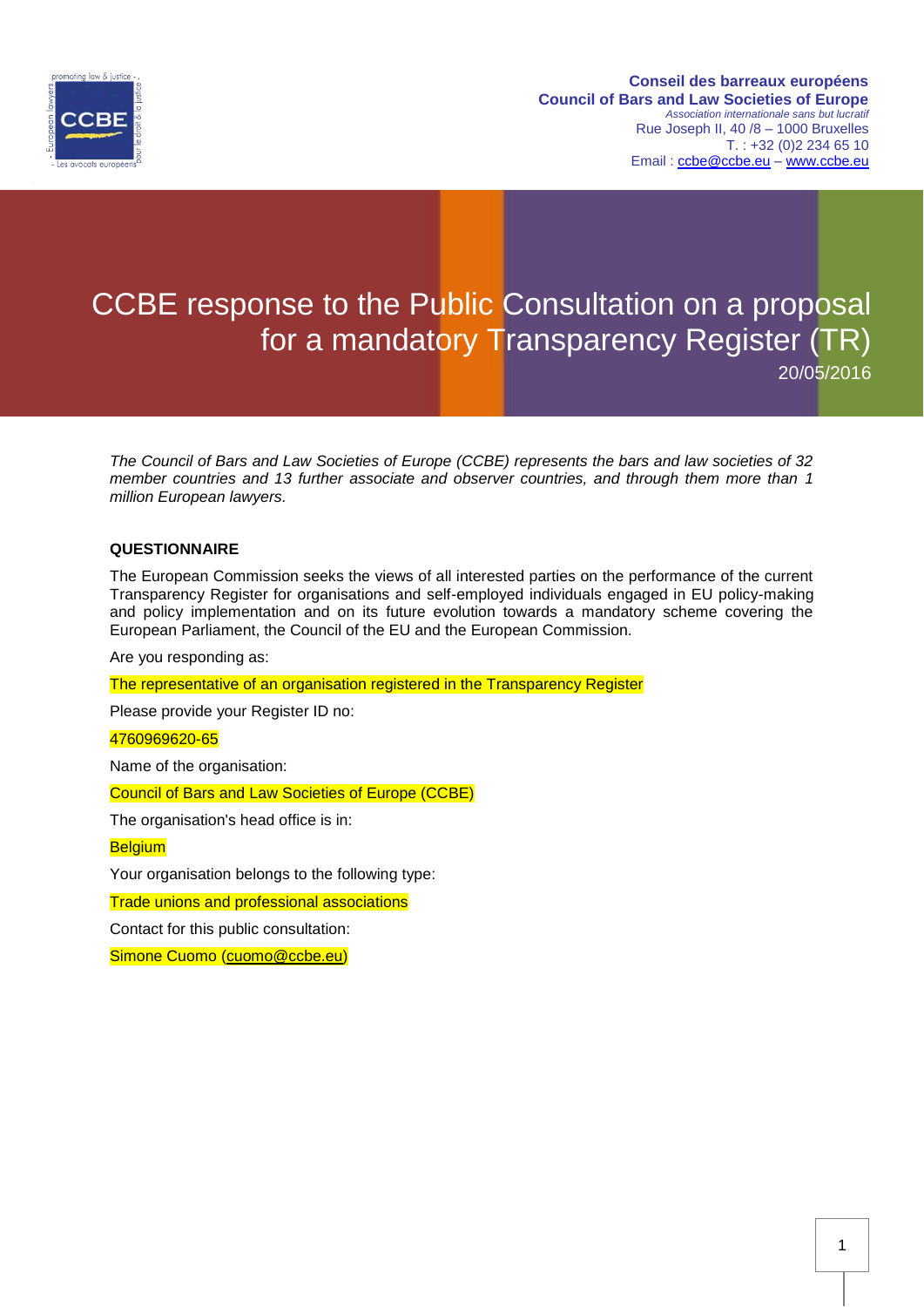

# CCBE response to the Public Consultation on a proposal for a mandatory Transparency Register (TR)

20/05/2016

*The Council of Bars and Law Societies of Europe (CCBE) represents the bars and law societies of 32 member countries and 13 further associate and observer countries, and through them more than 1 million European lawyers.*

## **QUESTIONNAIRE**

The European Commission seeks the views of all interested parties on the performance of the current Transparency Register for organisations and self-employed individuals engaged in EU policy-making and policy implementation and on its future evolution towards a mandatory scheme covering the European Parliament, the Council of the EU and the European Commission.

Are you responding as:

The representative of an organisation registered in the Transparency Register

Please provide your Register ID no:

4760969620-65

Name of the organisation:

Council of Bars and Law Societies of Europe (CCBE)

The organisation's head office is in:

**Belgium** 

Your organisation belongs to the following type:

Trade unions and professional associations

Contact for this public consultation:

Simone Cuomo [\(cuomo@ccbe.eu\)](mailto:cuomo@ccbe.eu)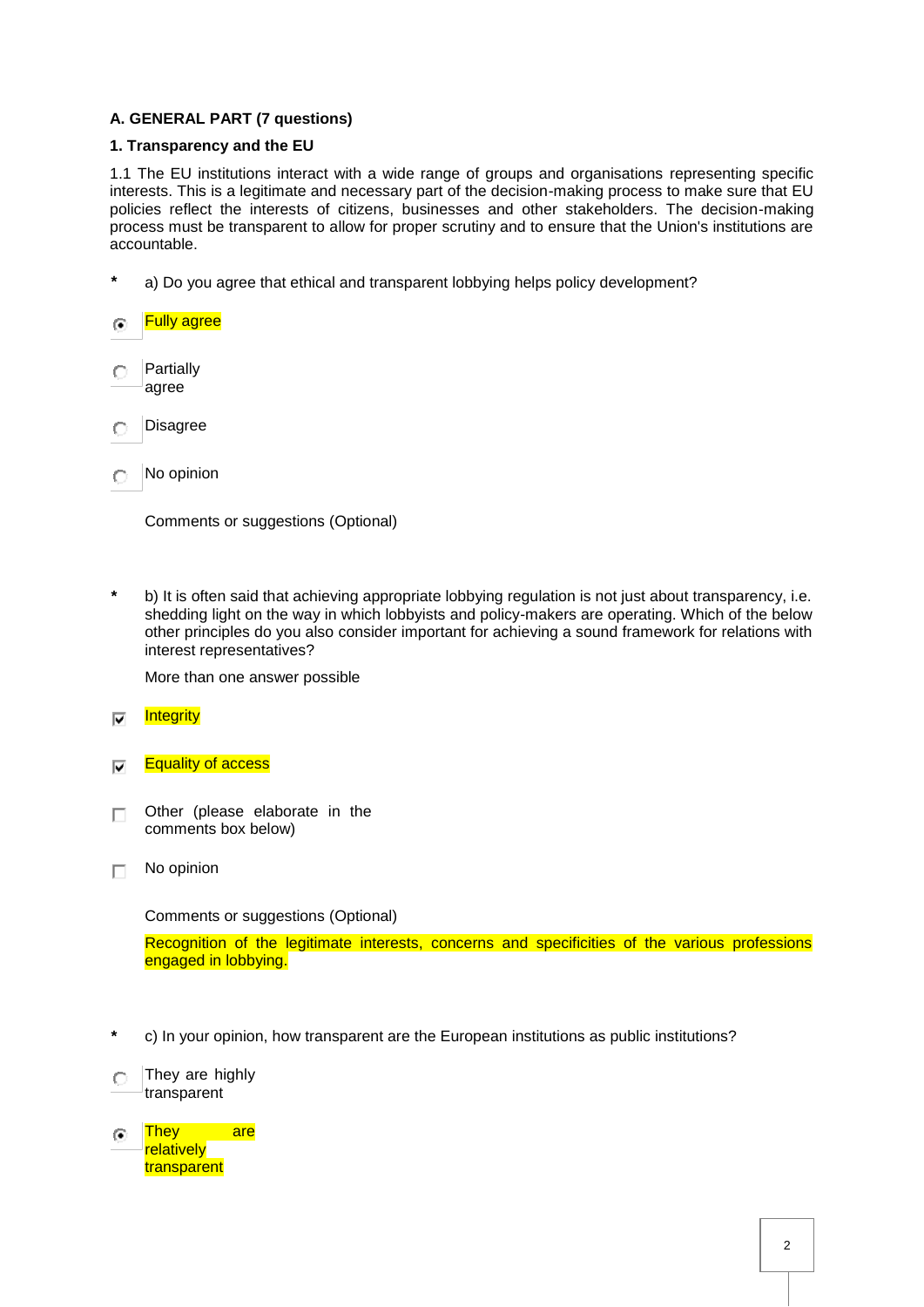# **A. GENERAL PART (7 questions)**

# **1. Transparency and the EU**

1.1 The EU institutions interact with a wide range of groups and organisations representing specific interests. This is a legitimate and necessary part of the decision-making process to make sure that EU policies reflect the interests of citizens, businesses and other stakeholders. The decision-making process must be transparent to allow for proper scrutiny and to ensure that the Union's institutions are accountable.

**\*** a) Do you agree that ethical and transparent lobbying helps policy development?

#### Fully agree  $\mathbf G$

- Partially  $\cap$  . agree
- Disagree O
- $\cap$  No opinion

Comments or suggestions (Optional)

**\*** b) It is often said that achieving appropriate lobbying regulation is not just about transparency, i.e. shedding light on the way in which lobbyists and policy-makers are operating. Which of the below other principles do you also consider important for achieving a sound framework for relations with interest representatives?

More than one answer possible

- **Integrity** ⊽
- **Equality of access**  $\overline{\mathbf{v}}$
- Other (please elaborate in the П. comments box below)
- No opinion П.

Comments or suggestions (Optional)

Recognition of the legitimate interests, concerns and specificities of the various professions engaged in lobbying.

- **\*** c) In your opinion, how transparent are the European institutions as public institutions?
- $\bigcap$  They are highly transparent
- They are G. **relatively** transparent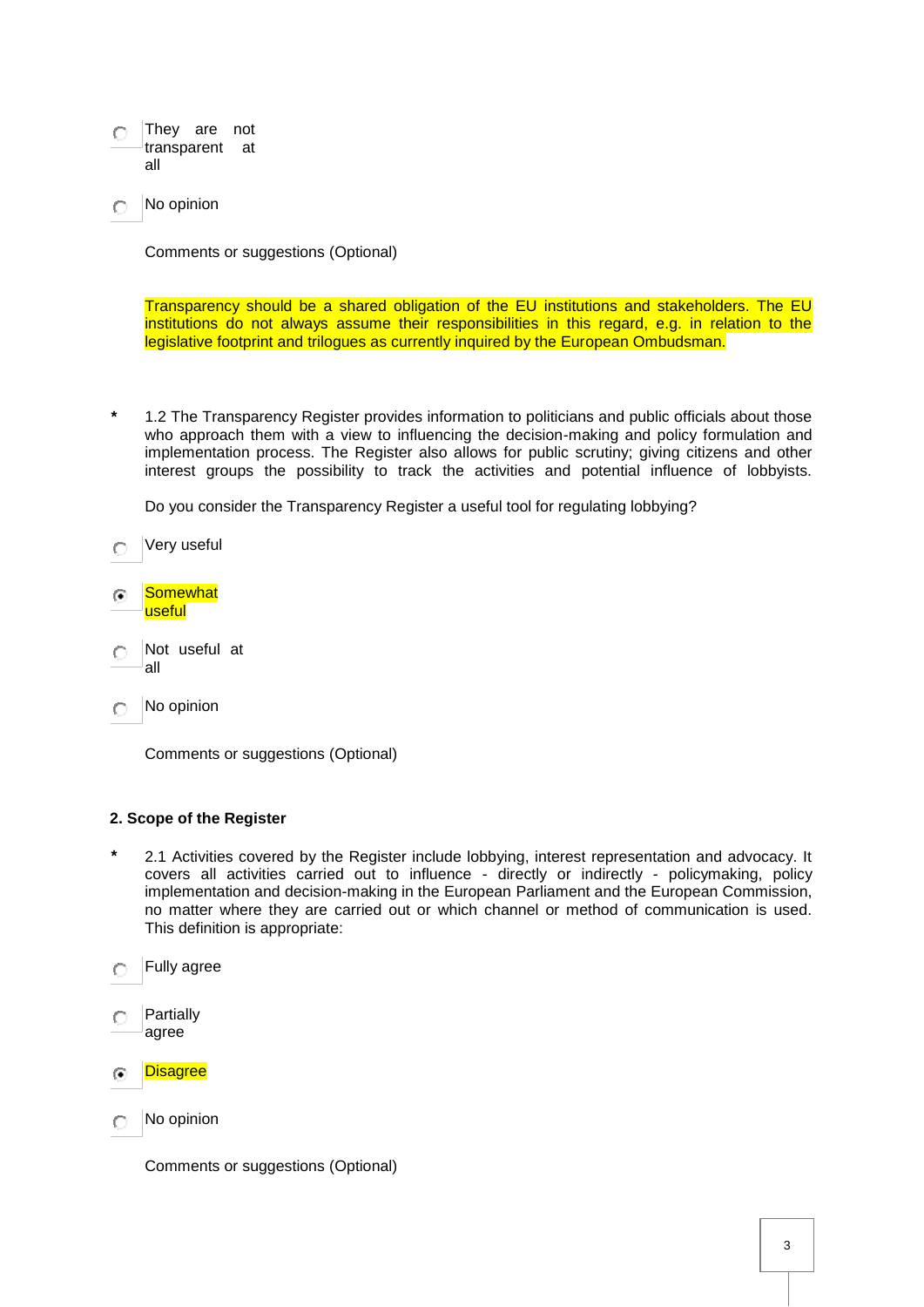- They are not transparent at all
- No opinion O

Comments or suggestions (Optional)

Transparency should be a shared obligation of the EU institutions and stakeholders. The EU institutions do not always assume their responsibilities in this regard, e.g. in relation to the legislative footprint and trilogues as currently inquired by the European Ombudsman.

**\*** 1.2 The Transparency Register provides information to politicians and public officials about those who approach them with a view to influencing the decision-making and policy formulation and implementation process. The Register also allows for public scrutiny; giving citizens and other interest groups the possibility to track the activities and potential influence of lobbyists.

Do you consider the Transparency Register a useful tool for regulating lobbying?

- Very useful O
- ∩ Somewhat useful
- Not useful at  $\circ$ all
- No opinion  $\cap$  .

Comments or suggestions (Optional)

#### **2. Scope of the Register**

- **\*** 2.1 Activities covered by the Register include lobbying, interest representation and advocacy. It covers all activities carried out to influence - directly or indirectly - policymaking, policy implementation and decision-making in the European Parliament and the European Commission, no matter where they are carried out or which channel or method of communication is used. This definition is appropriate:
- Fully agree
- Partially CD. agree
- **Disagree**  $\overline{(\bullet)}$
- No opinion  $\bigcap$

Comments or suggestions (Optional)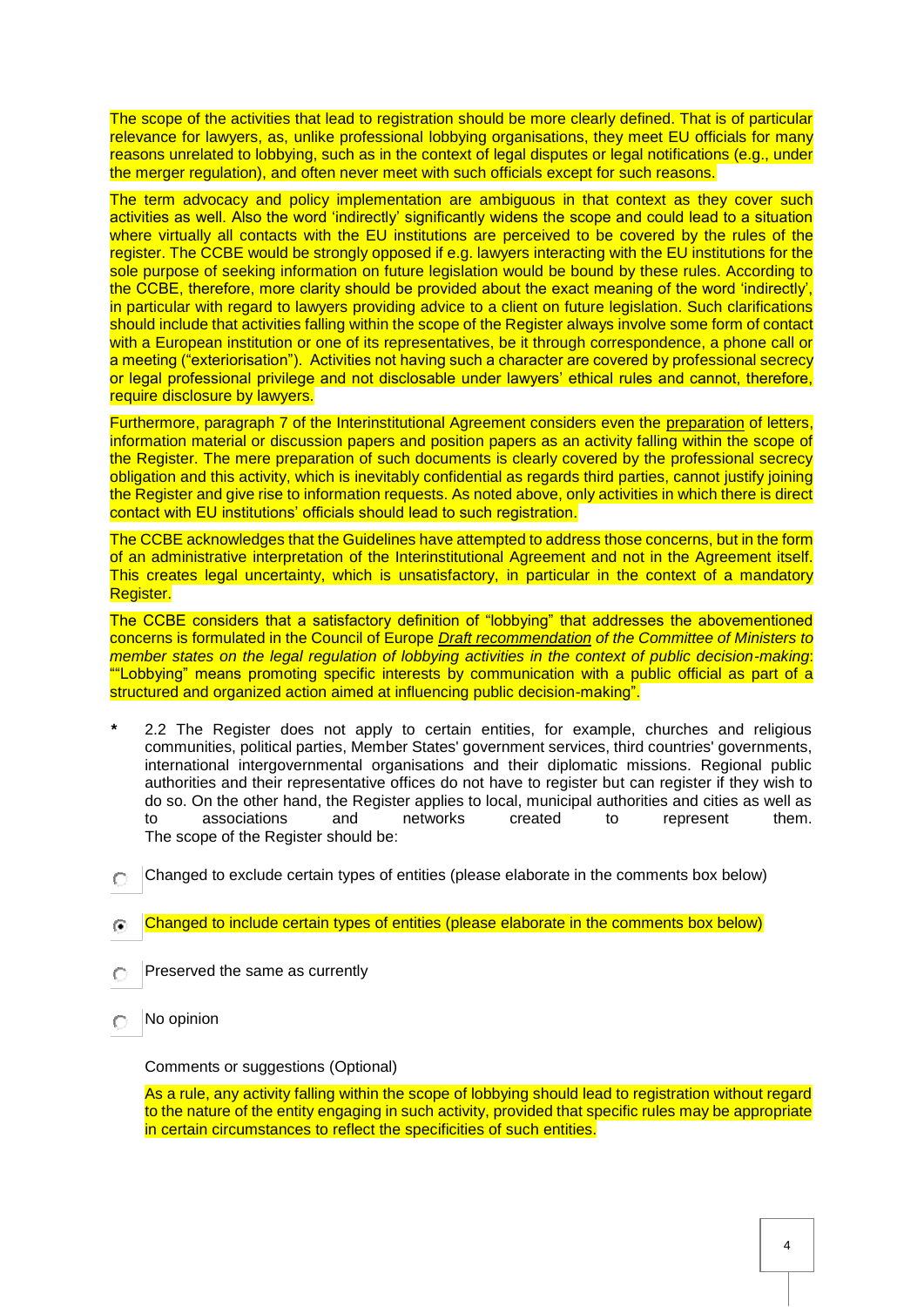The scope of the activities that lead to registration should be more clearly defined. That is of particular relevance for lawyers, as, unlike professional lobbying organisations, they meet EU officials for many reasons unrelated to lobbying, such as in the context of legal disputes or legal notifications (e.g., under the merger regulation), and often never meet with such officials except for such reasons.

The term advocacy and policy implementation are ambiguous in that context as they cover such activities as well. Also the word 'indirectly' significantly widens the scope and could lead to a situation where virtually all contacts with the EU institutions are perceived to be covered by the rules of the register. The CCBE would be strongly opposed if e.g. lawyers interacting with the EU institutions for the sole purpose of seeking information on future legislation would be bound by these rules. According to the CCBE, therefore, more clarity should be provided about the exact meaning of the word 'indirectly', in particular with regard to lawyers providing advice to a client on future legislation. Such clarifications should include that activities falling within the scope of the Register always involve some form of contact with a European institution or one of its representatives, be it through correspondence, a phone call or a meeting ("exteriorisation"). Activities not having such a character are covered by professional secrecy or legal professional privilege and not disclosable under lawyers' ethical rules and cannot, therefore, require disclosure by lawyers.

Furthermore, paragraph 7 of the Interinstitutional Agreement considers even the preparation of letters, information material or discussion papers and position papers as an activity falling within the scope of the Register. The mere preparation of such documents is clearly covered by the professional secrecy obligation and this activity, which is inevitably confidential as regards third parties, cannot justify joining the Register and give rise to information requests. As noted above, only activities in which there is direct contact with EU institutions' officials should lead to such registration.

The CCBE acknowledges that the Guidelines have attempted to address those concerns, but in the form of an administrative interpretation of the Interinstitutional Agreement and not in the Agreement itself. This creates legal uncertainty, which is unsatisfactory, in particular in the context of a mandatory Register.

The CCBE considers that a satisfactory definition of "lobbying" that addresses the abovementioned concerns is formulated in the Council of Europe *[Draft recommendation](http://www.coe.int/t/dghl/standardsetting/cdcj/Lobbying/CDCJ%20-%20Lobbying%20-%20Draft%20recommendation_en.pdf) of the Committee of Ministers to member states on the legal regulation of lobbying activities in the context of public decision-making*: ""Lobbying" means promoting specific interests by communication with a public official as part of a structured and organized action aimed at influencing public decision-making".

- **\*** 2.2 The Register does not apply to certain entities, for example, churches and religious communities, political parties, Member States' government services, third countries' governments, international intergovernmental organisations and their diplomatic missions. Regional public authorities and their representative offices do not have to register but can register if they wish to do so. On the other hand, the Register applies to local, municipal authorities and cities as well as to associations and networks created to represent them. The scope of the Register should be:
- Changed to exclude certain types of entities (please elaborate in the comments box below)  $\bigcap$
- Changed to include certain types of entities (please elaborate in the comments box below) 倫
- Preserved the same as currently O
- No opinion  $\bigcirc$

Comments or suggestions (Optional)

As a rule, any activity falling within the scope of lobbying should lead to registration without regard to the nature of the entity engaging in such activity, provided that specific rules may be appropriate in certain circumstances to reflect the specificities of such entities.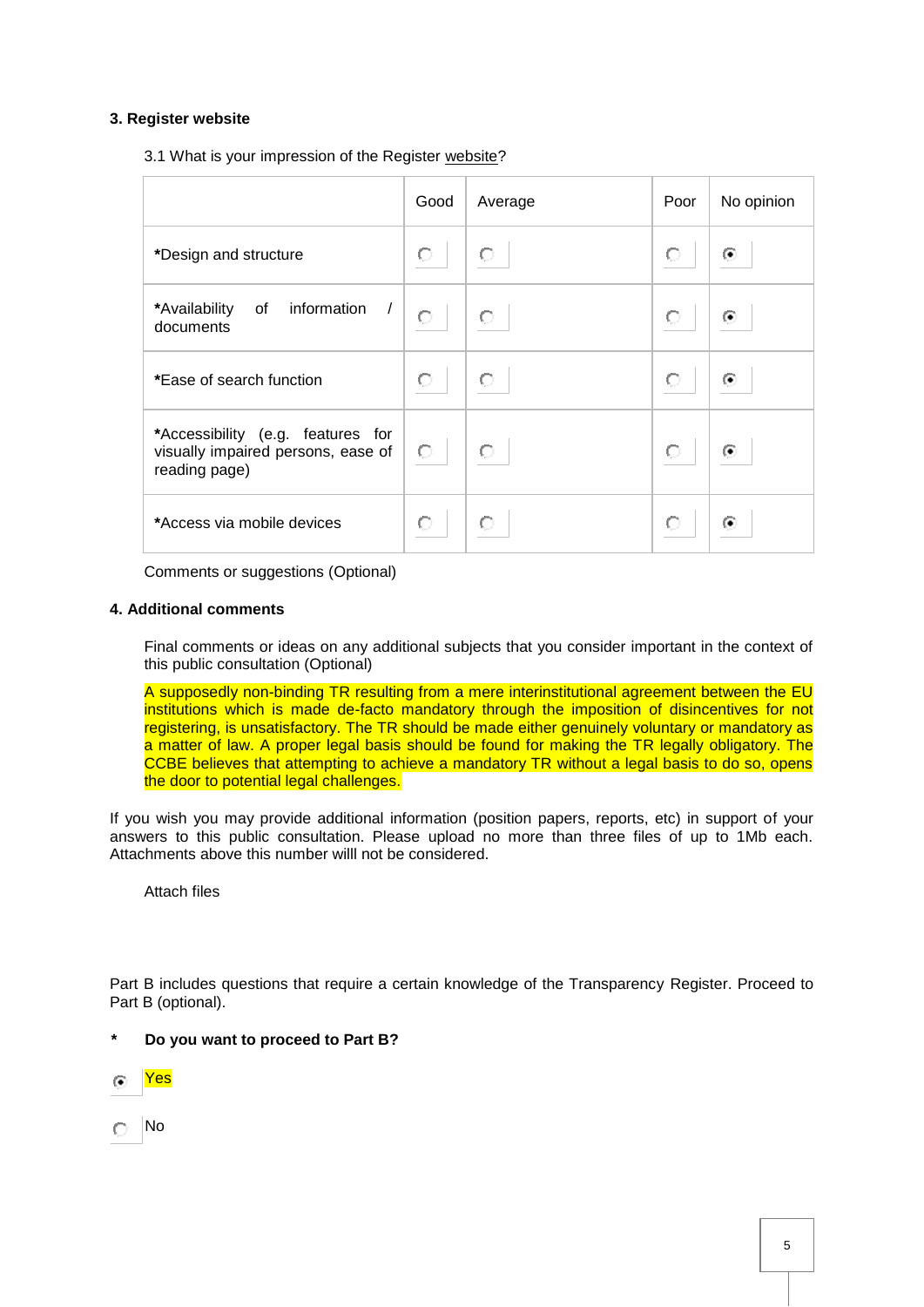# **3. Register website**

3.1 What is your impression of the Register [website?](http://ec.europa.eu/transparencyregister/public/homePage.do?redir=false&locale=en)

|                                                                                          | Good | Average | Poor | No opinion |
|------------------------------------------------------------------------------------------|------|---------|------|------------|
| *Design and structure                                                                    | О    | О       | О    | ⊙          |
| of information /<br>*Availability<br>documents                                           | O    | О       | O    | ⊙          |
| *Ease of search function                                                                 | Ō    | О       | О    | $\odot$    |
| *Accessibility (e.g. features for<br>visually impaired persons, ease of<br>reading page) | O    | О       | О    | $\odot$    |
| *Access via mobile devices                                                               | О    | О       | О    | $\odot$    |

Comments or suggestions (Optional)

## **4. Additional comments**

Final comments or ideas on any additional subjects that you consider important in the context of this public consultation (Optional)

A supposedly non-binding TR resulting from a mere interinstitutional agreement between the EU institutions which is made de-facto mandatory through the imposition of disincentives for not registering, is unsatisfactory. The TR should be made either genuinely voluntary or mandatory as a matter of law. A proper legal basis should be found for making the TR legally obligatory. The CCBE believes that attempting to achieve a mandatory TR without a legal basis to do so, opens the door to potential legal challenges.

If you wish you may provide additional information (position papers, reports, etc) in support of your answers to this public consultation. Please upload no more than three files of up to 1Mb each. Attachments above this number willl not be considered.

Attach files

Part B includes questions that require a certain knowledge of the Transparency Register. Proceed to Part B (optional).

- **\* Do you want to proceed to Part B?**
- Yes 企
- $\cap$  No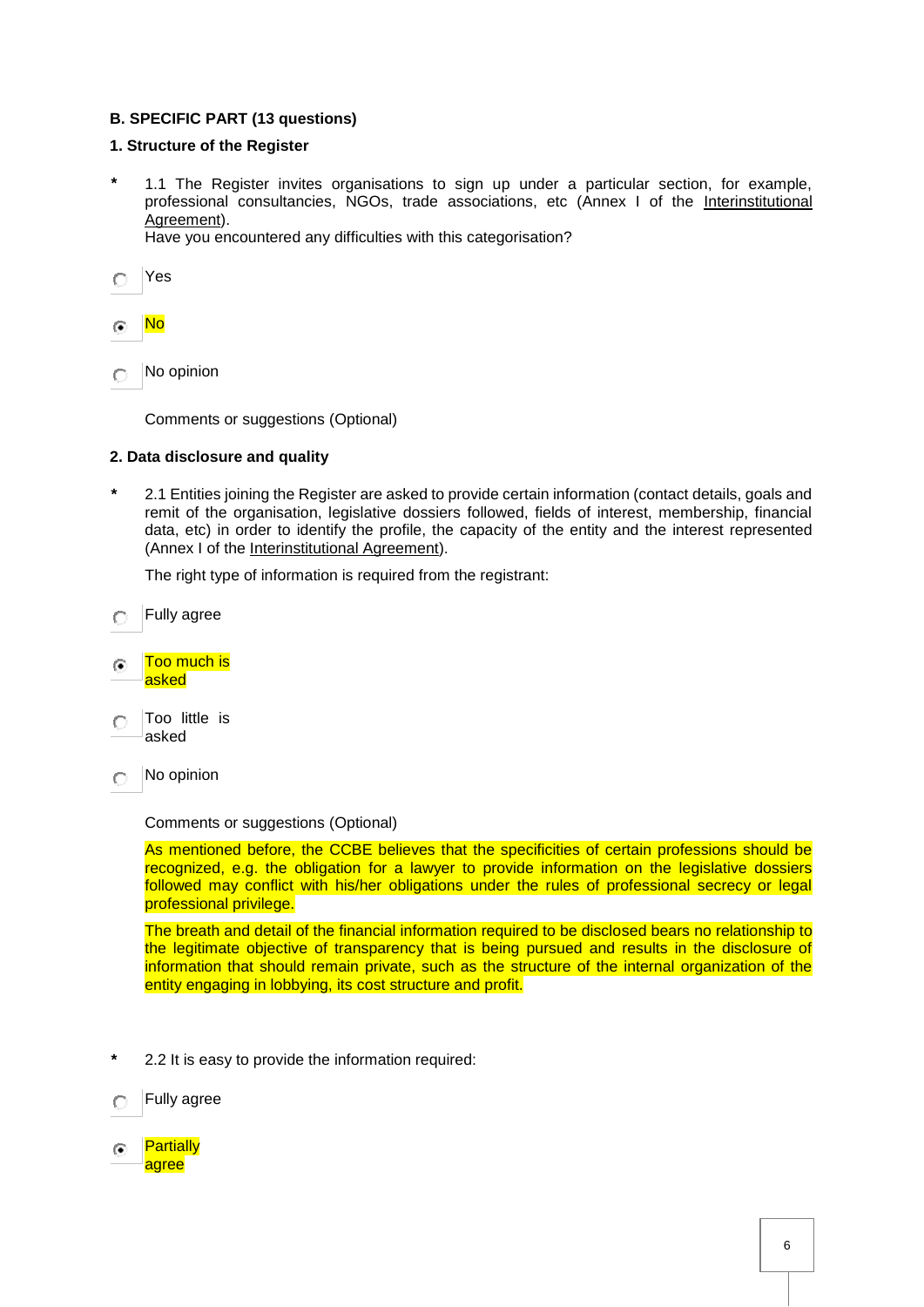# **B. SPECIFIC PART (13 questions)**

# **1. Structure of the Register**

- **\*** 1.1 The Register invites organisations to sign up under a particular section, for example, professional consultancies, NGOs, trade associations, etc (Annex I of the [Interinstitutional](http://eur-lex.europa.eu/legal-content/en/TXT/?uri=uriserv:OJ.L_.2014.277.01.0011.01.ENG)  [Agreement\)](http://eur-lex.europa.eu/legal-content/en/TXT/?uri=uriserv:OJ.L_.2014.277.01.0011.01.ENG). Have you encountered any difficulties with this categorisation?
- $\circ$ Yes

#### No  $\odot$

No opinion O

Comments or suggestions (Optional)

## **2. Data disclosure and quality**

**\*** 2.1 Entities joining the Register are asked to provide certain information (contact details, goals and remit of the organisation, legislative dossiers followed, fields of interest, membership, financial data, etc) in order to identify the profile, the capacity of the entity and the interest represented (Annex I of the [Interinstitutional Agreement\)](http://eur-lex.europa.eu/legal-content/en/TXT/?uri=uriserv:OJ.L_.2014.277.01.0011.01.ENG).

The right type of information is required from the registrant:

- Fully agree O
- Too much is  $\odot$ asked
- Too little is  $\sqrt{\frac{2}{3}}$ asked
- No opinion  $\bigcap$

#### Comments or suggestions (Optional)

As mentioned before, the CCBE believes that the specificities of certain professions should be recognized, e.g. the obligation for a lawyer to provide information on the legislative dossiers followed may conflict with his/her obligations under the rules of professional secrecy or legal professional privilege.

The breath and detail of the financial information required to be disclosed bears no relationship to the legitimate objective of transparency that is being pursued and results in the disclosure of information that should remain private, such as the structure of the internal organization of the entity engaging in lobbying, its cost structure and profit.

- **\*** 2.2 It is easy to provide the information required:
- Fully agree O
- **Partially**  $\sqrt{2}$ agree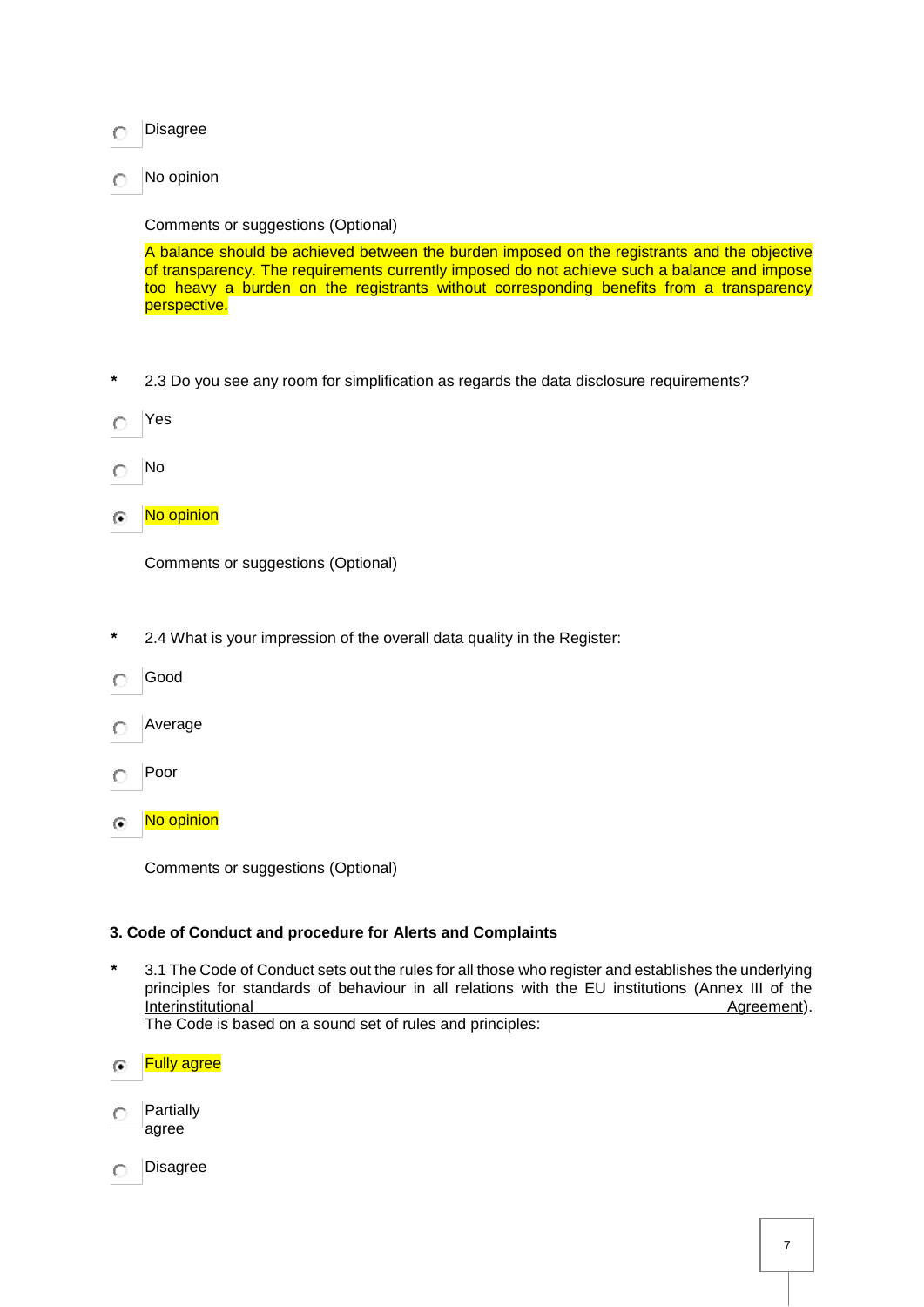#### Disagree CL.

No opinion  $\circ$ 

# Comments or suggestions (Optional)

A balance should be achieved between the burden imposed on the registrants and the objective of transparency. The requirements currently imposed do not achieve such a balance and impose too heavy a burden on the registrants without corresponding benefits from a transparency perspective.

**\*** 2.3 Do you see any room for simplification as regards the data disclosure requirements?

Yes O

- No O
- No opinion  $\circ$

Comments or suggestions (Optional)

- **\*** 2.4 What is your impression of the overall data quality in the Register:
- Good
- Average  $\bigcirc$
- Poor  $\bigcap$
- No opinion  $\overline{(\bullet)}$

Comments or suggestions (Optional)

# **3. Code of Conduct and procedure for Alerts and Complaints**

**\*** 3.1 The Code of Conduct sets out the rules for all those who register and establishes the underlying principles for standards of behaviour in all relations with the EU institutions (Annex III of the Interinstitutional and the control of the control of the control of the control of the control of the control of the control of the control of the control of the control of the control of the control of the control of the

The Code is based on a sound set of rules and principles:

Fully agree ra l

- **Partially**  $\circ$ agree
- Disagree $\circ$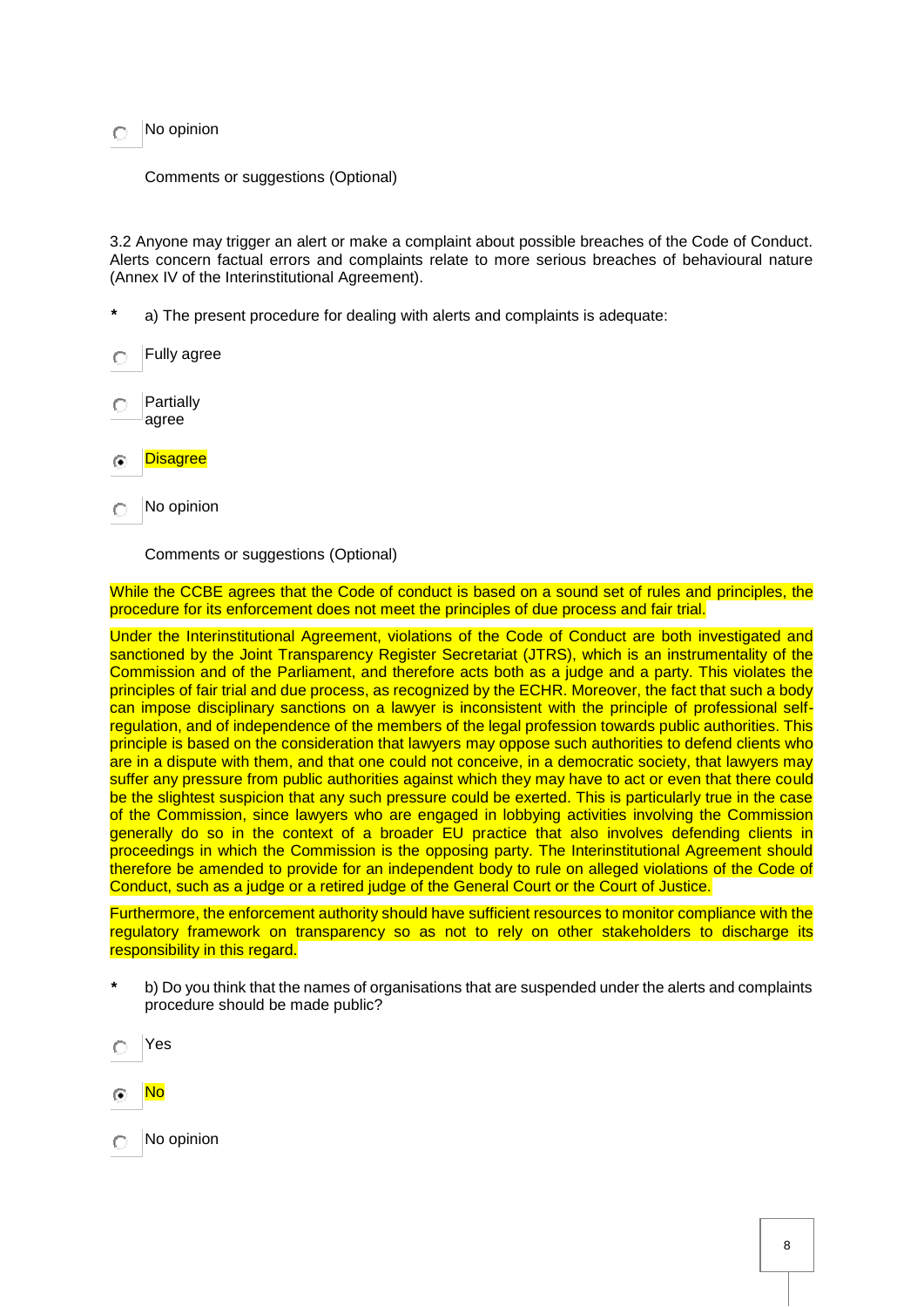No opinion

Comments or suggestions (Optional)

3.2 Anyone may trigger an alert or make a complaint about possible breaches of the Code of Conduct. Alerts concern factual errors and complaints relate to more serious breaches of behavioural nature (Annex IV of the Interinstitutional Agreement).

- **\*** a) The present procedure for dealing with alerts and complaints is adequate:
- Fully agree C
- **Partially** O agree
- **Disagree** Æ
- No opinion O

Comments or suggestions (Optional)

While the CCBE agrees that the Code of conduct is based on a sound set of rules and principles, the procedure for its enforcement does not meet the principles of due process and fair trial.

Under the Interinstitutional Agreement, violations of the Code of Conduct are both investigated and sanctioned by the Joint Transparency Register Secretariat (JTRS), which is an instrumentality of the Commission and of the Parliament, and therefore acts both as a judge and a party. This violates the principles of fair trial and due process, as recognized by the ECHR. Moreover, the fact that such a body can impose disciplinary sanctions on a lawyer is inconsistent with the principle of professional selfregulation, and of independence of the members of the legal profession towards public authorities. This principle is based on the consideration that lawyers may oppose such authorities to defend clients who are in a dispute with them, and that one could not conceive, in a democratic society, that lawyers may suffer any pressure from public authorities against which they may have to act or even that there could be the slightest suspicion that any such pressure could be exerted. This is particularly true in the case of the Commission, since lawyers who are engaged in lobbying activities involving the Commission generally do so in the context of a broader EU practice that also involves defending clients in proceedings in which the Commission is the opposing party. The Interinstitutional Agreement should therefore be amended to provide for an independent body to rule on alleged violations of the Code of Conduct, such as a judge or a retired judge of the General Court or the Court of Justice.

Furthermore, the enforcement authority should have sufficient resources to monitor compliance with the regulatory framework on transparency so as not to rely on other stakeholders to discharge its responsibility in this regard.

- **\*** b) Do you think that the names of organisations that are suspended under the alerts and complaints procedure should be made public?
- Yes O
- No
- No opinionO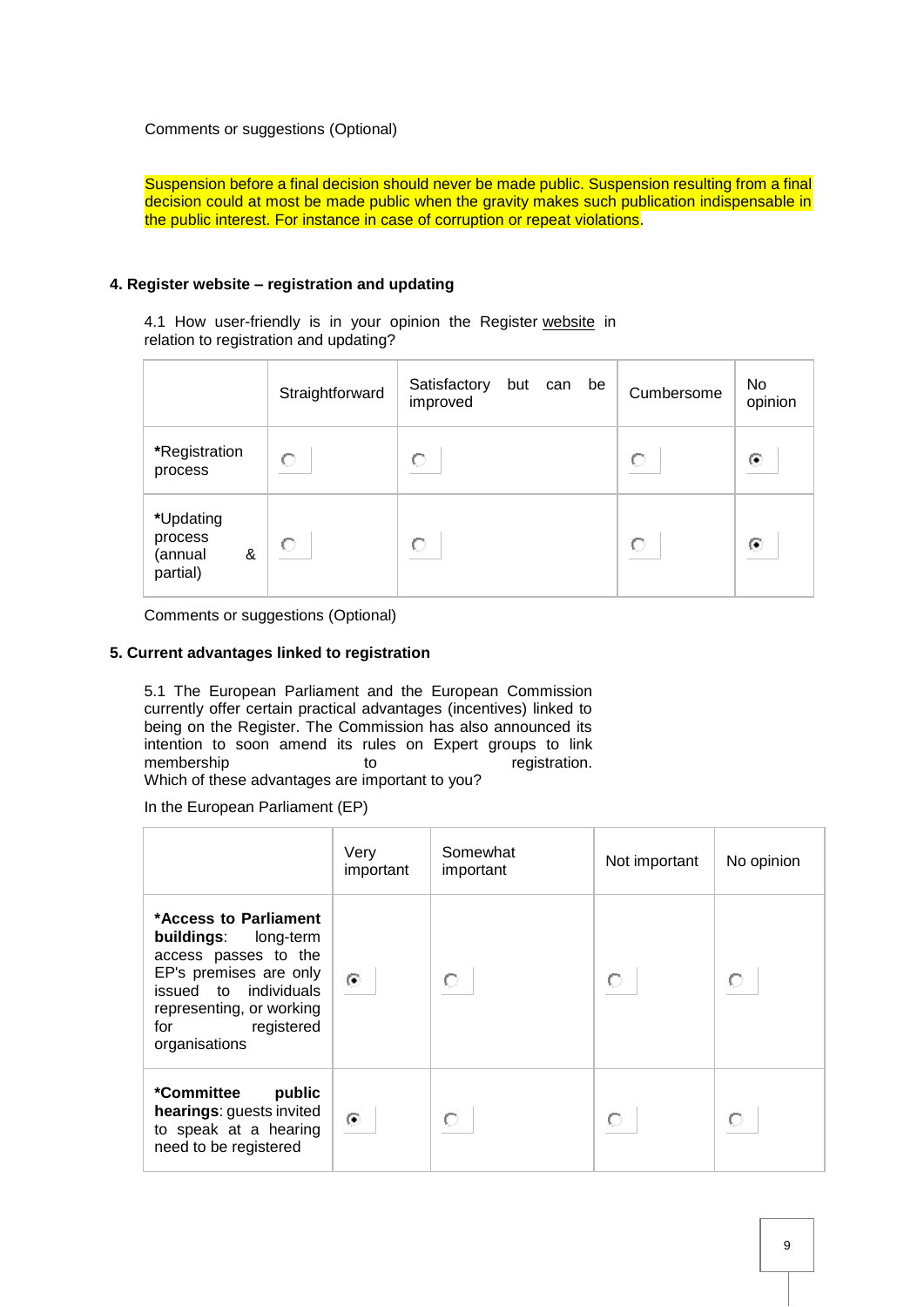Comments or suggestions (Optional)

Suspension before a final decision should never be made public. Suspension resulting from a final decision could at most be made public when the gravity makes such publication indispensable in the public interest. For instance in case of corruption or repeat violations.

# **4. Register website – registration and updating**

4.1 How user-friendly is in your opinion the Register [website](http://ec.europa.eu/transparencyregister/public/homePage.do?redir=false&locale=en) in relation to registration and updating?

|                                                  | Straightforward | Satisfactory<br>but can<br>be<br>improved | Cumbersome | No.<br>opinion |
|--------------------------------------------------|-----------------|-------------------------------------------|------------|----------------|
| *Registration<br>process                         | О               | О                                         | О          | ◉              |
| *Updating<br>process<br>&<br>(annual<br>partial) | О               | О                                         | C.         | ⊙              |

Comments or suggestions (Optional)

## **5. Current advantages linked to registration**

5.1 The European Parliament and the European Commission currently offer certain practical advantages (incentives) linked to being on the Register. The Commission has also announced its intention to soon amend its rules on Expert groups to link membership to to registration. Which of these advantages are important to you?

In the European Parliament (EP)

|                                                                                                                                                                                            | Very<br>important | Somewhat<br>important | Not important | No opinion |
|--------------------------------------------------------------------------------------------------------------------------------------------------------------------------------------------|-------------------|-----------------------|---------------|------------|
| *Access to Parliament<br>buildings: long-term<br>access passes to the<br>EP's premises are only<br>issued to individuals<br>representing, or working<br>registered<br>for<br>organisations | $\odot$           |                       |               |            |
| *Committee<br>public<br>hearings: guests invited<br>to speak at a hearing<br>need to be registered                                                                                         | $\odot$           | О                     |               |            |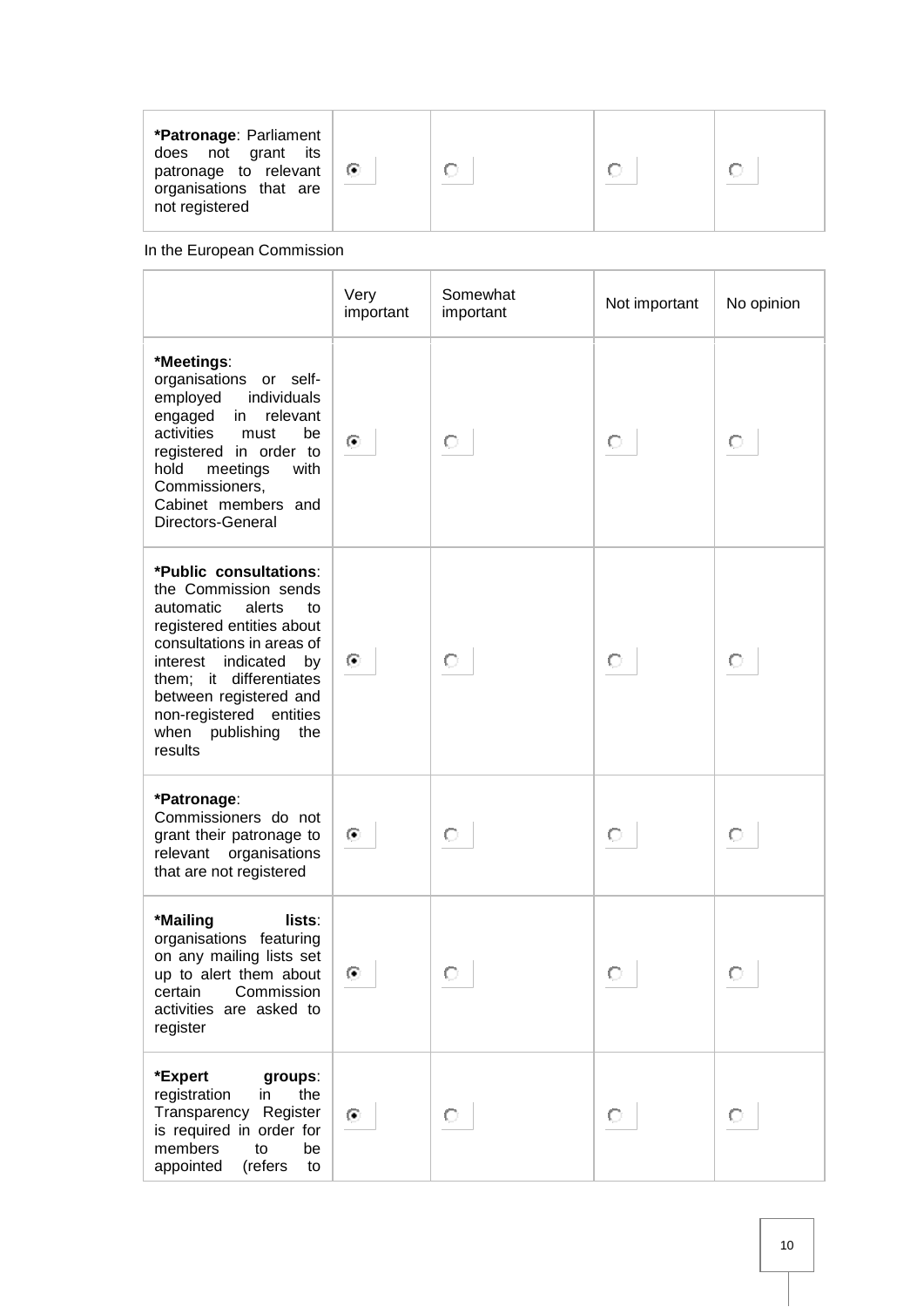| *Patronage: Parliament<br>does not grant<br>its<br>patronage to relevant<br>$\bullet$<br>organisations that are<br>not registered |  |
|-----------------------------------------------------------------------------------------------------------------------------------|--|
|-----------------------------------------------------------------------------------------------------------------------------------|--|

In the European Commission

|                                                                                                                                                                                                                                                                                           | Very<br>important | Somewhat<br>important | Not important | No opinion |
|-------------------------------------------------------------------------------------------------------------------------------------------------------------------------------------------------------------------------------------------------------------------------------------------|-------------------|-----------------------|---------------|------------|
| *Meetings:<br>organisations or self-<br>individuals<br>employed<br>engaged<br>in relevant<br>activities<br>must<br>be<br>registered in order to<br>hold<br>meetings<br>with<br>Commissioners,<br>Cabinet members and<br>Directors-General                                                 | $\odot$           | О                     | О             | О          |
| *Public consultations:<br>the Commission sends<br>automatic<br>alerts<br>to<br>registered entities about<br>consultations in areas of<br>indicated<br>interest<br>by<br>them; it differentiates<br>between registered and<br>non-registered entities<br>when publishing<br>the<br>results | ⊙                 | О                     | О             | О          |
| *Patronage:<br>Commissioners do not<br>grant their patronage to<br>relevant organisations<br>that are not registered                                                                                                                                                                      | $\odot$           | О                     | О             | О          |
| *Mailing<br>lists:<br>organisations featuring<br>on any mailing lists set<br>up to alert them about<br>certain<br>Commission<br>activities are asked to<br>register                                                                                                                       | ⊙                 |                       |               |            |
| *Expert<br>groups:<br>registration<br>the<br>in<br>Transparency Register<br>is required in order for<br>members<br>to<br>be<br>appointed<br>(refers<br>to                                                                                                                                 | ⊙                 | О                     | О             | O          |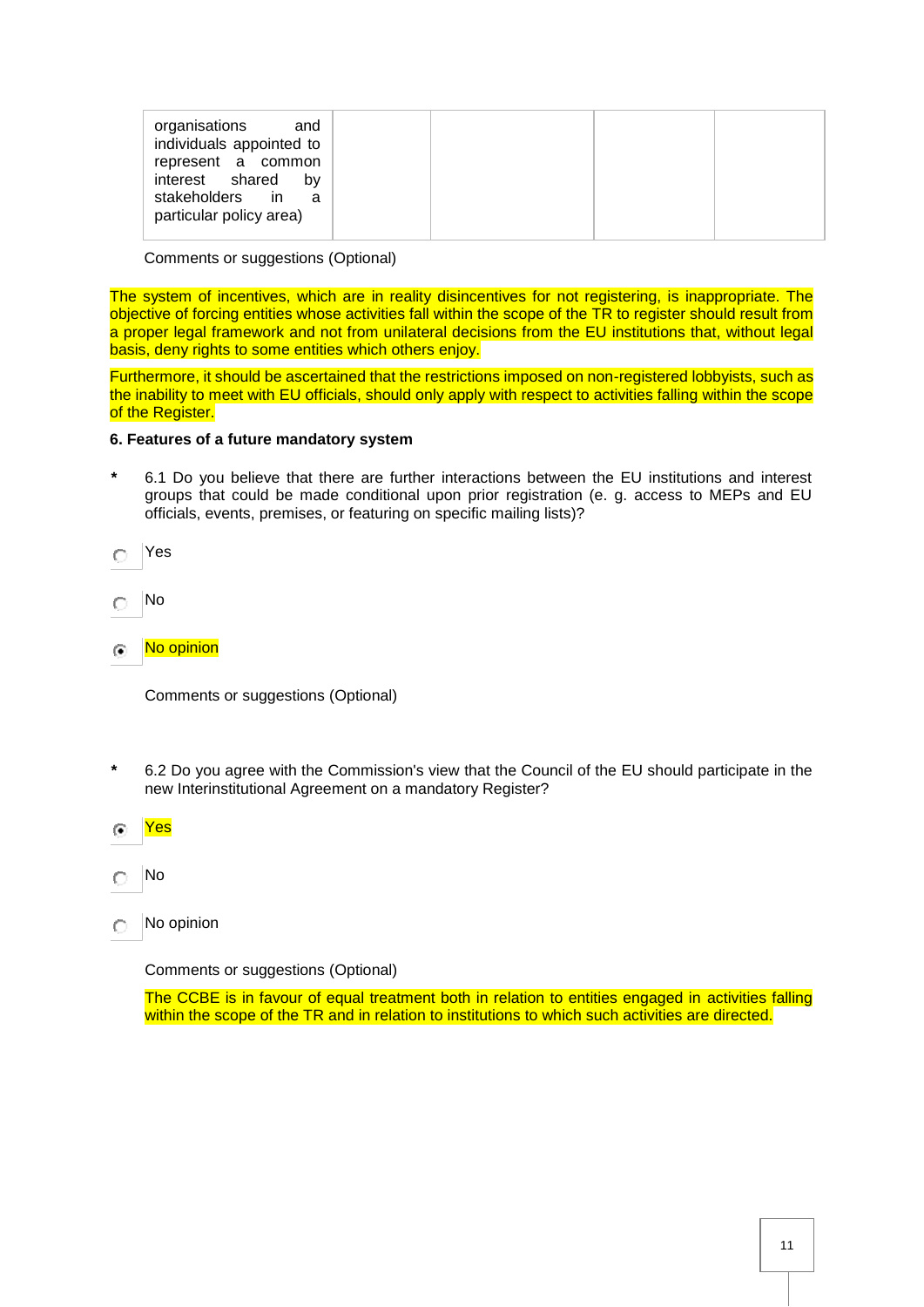| organisations<br>and<br>individuals appointed to<br>represent a common<br>interest shared<br>bv<br>stakeholders in<br>a<br>particular policy area) |
|----------------------------------------------------------------------------------------------------------------------------------------------------|
|----------------------------------------------------------------------------------------------------------------------------------------------------|

Comments or suggestions (Optional)

The system of incentives, which are in reality disincentives for not registering, is inappropriate. The objective of forcing entities whose activities fall within the scope of the TR to register should result from a proper legal framework and not from unilateral decisions from the EU institutions that, without legal basis, deny rights to some entities which others enjoy.

Furthermore, it should be ascertained that the restrictions imposed on non-registered lobbyists, such as the inability to meet with EU officials, should only apply with respect to activities falling within the scope of the Register.

#### **6. Features of a future mandatory system**

- **\*** 6.1 Do you believe that there are further interactions between the EU institutions and interest groups that could be made conditional upon prior registration (e. g. access to MEPs and EU officials, events, premises, or featuring on specific mailing lists)?
- Yes  $\bigcap$
- No  $\circ$
- No opinion G.

Comments or suggestions (Optional)

- **\*** 6.2 Do you agree with the Commission's view that the Council of the EU should participate in the new Interinstitutional Agreement on a mandatory Register?
- Yes  $\sqrt{2}$
- No C
- No opinion O

Comments or suggestions (Optional)

The CCBE is in favour of equal treatment both in relation to entities engaged in activities falling within the scope of the TR and in relation to institutions to which such activities are directed.